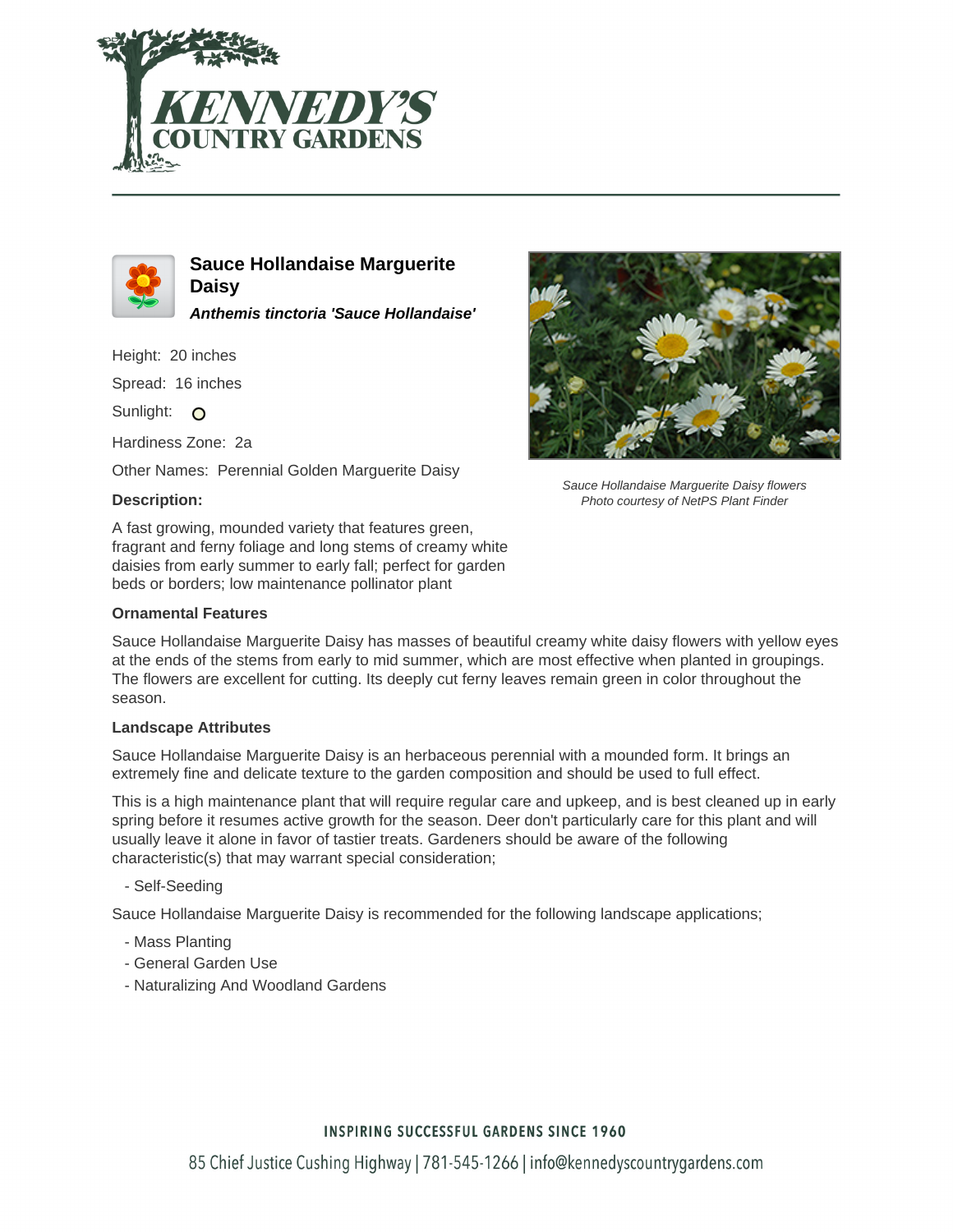



**Sauce Hollandaise Marguerite Daisy Anthemis tinctoria 'Sauce Hollandaise'**

Height: 20 inches

Spread: 16 inches

Sunlight: O

Hardiness Zone: 2a

Other Names: Perennial Golden Marguerite Daisy

### **Description:**

A fast growing, mounded variety that features green, fragrant and ferny foliage and long stems of creamy white daisies from early summer to early fall; perfect for garden beds or borders; low maintenance pollinator plant

#### **Ornamental Features**

Sauce Hollandaise Marguerite Daisy flowers Photo courtesy of NetPS Plant Finder

Sauce Hollandaise Marguerite Daisy has masses of beautiful creamy white daisy flowers with yellow eyes at the ends of the stems from early to mid summer, which are most effective when planted in groupings. The flowers are excellent for cutting. Its deeply cut ferny leaves remain green in color throughout the season.

#### **Landscape Attributes**

Sauce Hollandaise Marguerite Daisy is an herbaceous perennial with a mounded form. It brings an extremely fine and delicate texture to the garden composition and should be used to full effect.

This is a high maintenance plant that will require regular care and upkeep, and is best cleaned up in early spring before it resumes active growth for the season. Deer don't particularly care for this plant and will usually leave it alone in favor of tastier treats. Gardeners should be aware of the following characteristic(s) that may warrant special consideration;

- Self-Seeding

Sauce Hollandaise Marguerite Daisy is recommended for the following landscape applications;

- Mass Planting
- General Garden Use
- Naturalizing And Woodland Gardens

## **INSPIRING SUCCESSFUL GARDENS SINCE 1960**